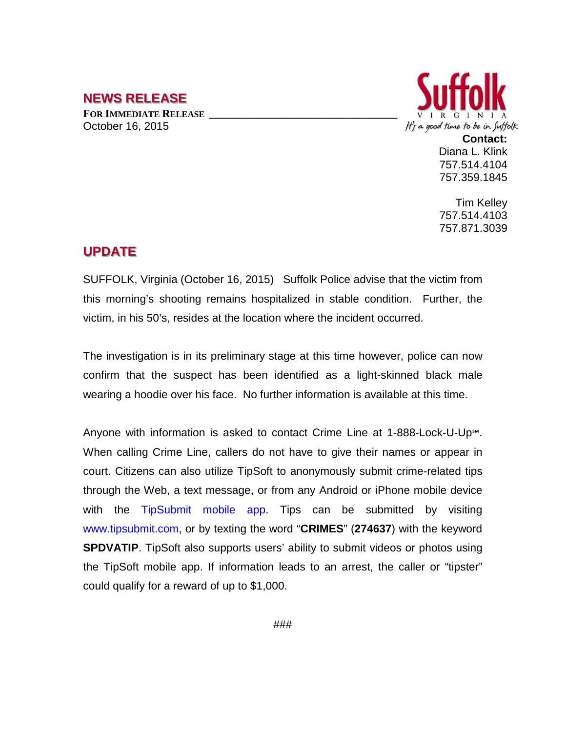## **NEWS RELEASE**

**FOR IMMEDIATE RELEASE \_\_\_\_\_\_\_\_\_\_\_\_\_\_\_\_\_\_\_\_\_\_\_\_\_\_\_\_\_\_\_\_\_\_** October 16, 2015



Diana L. Klink 757.514.4104 757.359.1845

Tim Kelley 757.514.4103 757.871.3039

## **UPDATE**

SUFFOLK, Virginia (October 16, 2015) Suffolk Police advise that the victim from this morning's shooting remains hospitalized in stable condition. Further, the victim, in his 50's, resides at the location where the incident occurred.

The investigation is in its preliminary stage at this time however, police can now confirm that the suspect has been identified as a light-skinned black male wearing a hoodie over his face. No further information is available at this time.

Anyone with information is asked to contact Crime Line at 1-888-Lock-U-Up℠. When calling Crime Line, callers do not have to give their names or appear in court. Citizens can also utilize TipSoft to anonymously submit crime-related tips through the Web, a text message, or from any Android or iPhone mobile device with the TipSubmit mobile app. Tips can be submitted by visiting www.tipsubmit.com, or by texting the word "**CRIMES**" (**274637**) with the keyword **SPDVATIP**. TipSoft also supports users' ability to submit videos or photos using the TipSoft mobile app. If information leads to an arrest, the caller or "tipster" could qualify for a reward of up to \$1,000.

###